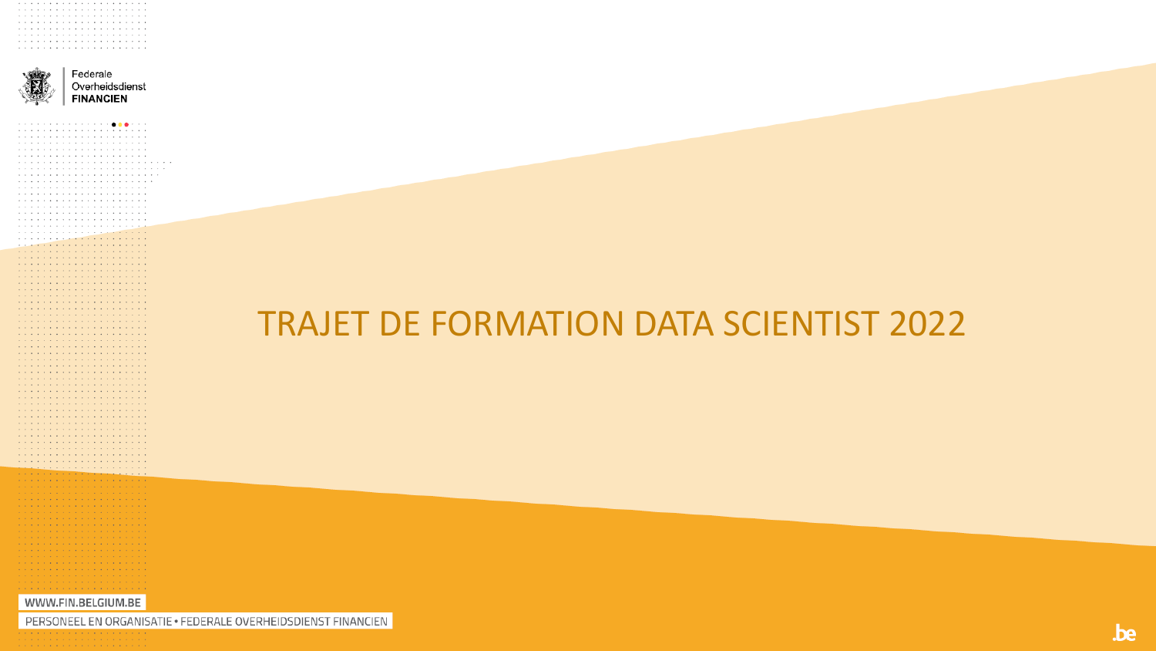

. . . . . . . . . . . . . . . . . . . . a construction of the contract of the construction of the cona caracteristic and a caracteristic and a caracteristic a construction of the construction of the construction of the construction of the construction of the construction of the construction of the construction of the construction of the construction of the construction of the and a series and a series and a series and a series and a series and a series and a series and a series and a caracteristic and a caracteristic and a caracteristic a característica de la característica de la característica

a caracteristic and a caracteristic and a caracteristic and the contract of the contract of the contract of the contract of the contract of the contract of the contract of the contract of the contract of the contract of the contract of the contract of the contract of the contra and a series of the contract of the contract of the contract of the contract of the contract of the contract of the contract of the contract of the contract of the contract of the contract of the contract of the contract o a construction of the construction of the construction of the construction of the construction of the construction of the construction of the construction of the construction of the construction of the construction of the and a series and a series and a series and a series a construction of the construction of the construction of the construction of the construction of the construction of the construction of the construction of the construction of the construction of the construction of the a construction of the construction of the construction of the construction of the construction of the construction of the construction of the construction of the construction of the construction of the construction of the and a series of the contract of the contract of the contract of the contract of the contract of the contract of the contract of the contract of the contract of the contract of the contract of the contract of the contract o a construction of the construction of the construction of the construction of the construction of the construction of the construction of the construction of the construction of the construction of the construction of the and the contract of the contract of the contract of the contract of the contract of the contract of the contract of the contract of the contract of the contract of the contract of the contract of the contract of the contra . **. . . . . . . . . . . . . . . . . .** . . . a caracteristic and a caracteristic and a caracteristic a caracteristic and a caracteristic and a caracteristic a construction of the construction of the construction of the  $\alpha$  , and a set of the set of the set of the set of the set of the set of the  $\alpha$ a construction of the construction of the construction of the construction of the construction of the construction of the construction of the construction of the construction of the construction of the construction of the and a construction of the construction of the construction of the construction of the construction of the construction of the construction of the construction of the construction of the construction of the construction of a construction of the construction of the construction of the construction of the construction of the construction of the construction of the construction of the construction of the construction of the construction of the and the company's company's company's company's company's المتمام والمتمام والمتمام والمتمام والمتمام والمتمام والمتمام والمتمام والمتمام والمتمام والمتمام والمتمار a se a característica de la característica de la والمتعاونة والمتعاونة والمتعاونة والمتعاونة والمتعاونة . . . . . . . . . . . . . . . . . . the contract of the contract of the contract of the contract of the contract of the contract of the contract of the contract of the contract of the contract of the contract of the contract of the contract of the contract o . . . . . . . . . . . . . . . . . .

Federale Overheidsdienst **FINANCIEN** 

### **TRAJET DE FORMATION DATA SCIENTIST 2022**

. . . . . . . . . . . . . . . . . . WWW.FIN.BELGIUM.BE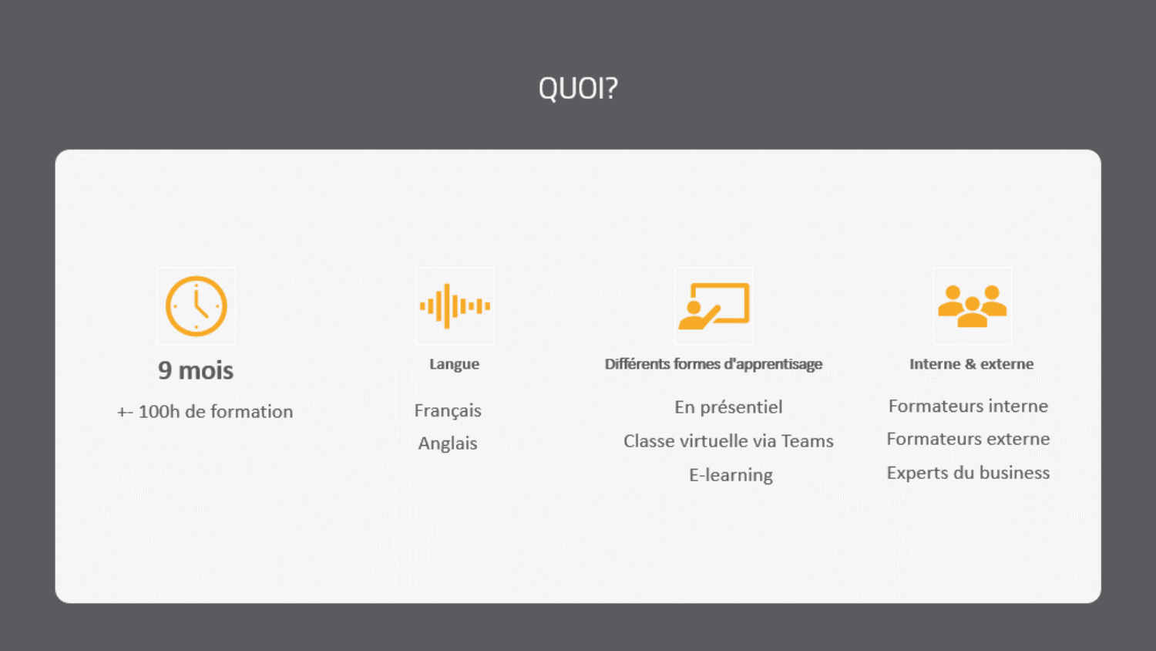### QUOI?

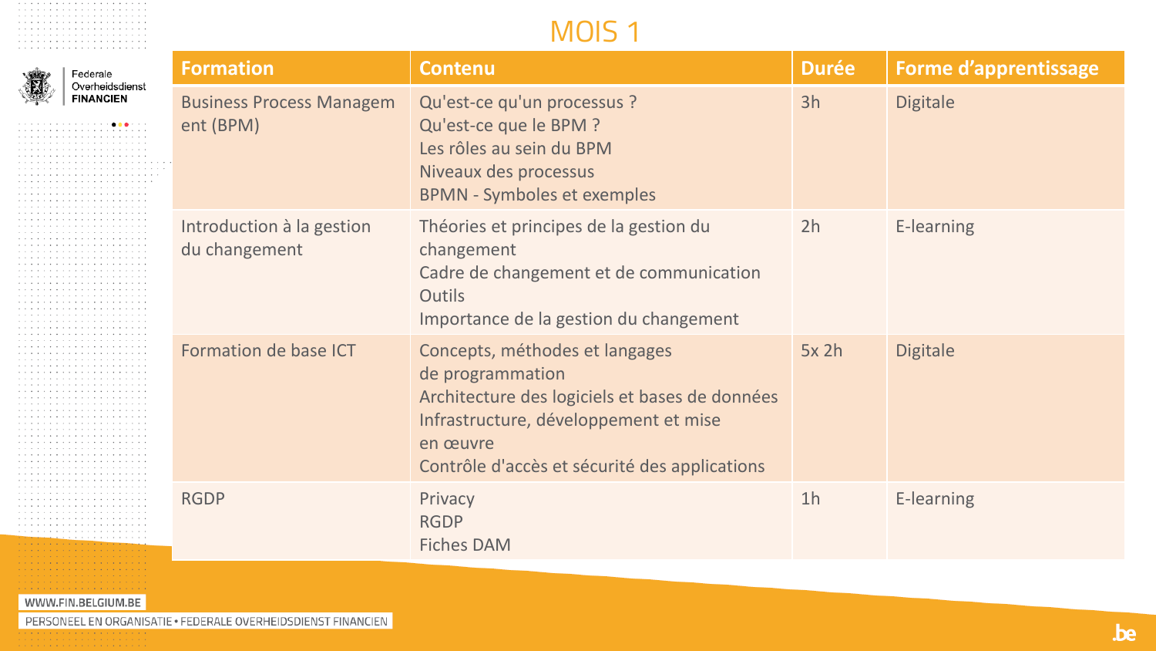#### MOIS<sub>1</sub>

| Federale                            | <b>Formation</b>                             | <b>Contenu</b>                                                                                                                                                                                             | <b>Durée</b>   | <b>Forme d'apprentissage</b> |
|-------------------------------------|----------------------------------------------|------------------------------------------------------------------------------------------------------------------------------------------------------------------------------------------------------------|----------------|------------------------------|
| Overheidsdienst<br><b>FINANCIEN</b> | <b>Business Process Managem</b><br>ent (BPM) | Qu'est-ce qu'un processus ?<br>Qu'est-ce que le BPM ?<br>Les rôles au sein du BPM<br>Niveaux des processus<br><b>BPMN - Symboles et exemples</b>                                                           | 3h             | <b>Digitale</b>              |
|                                     | Introduction à la gestion<br>du changement   | Théories et principes de la gestion du<br>changement<br>Cadre de changement et de communication<br><b>Outils</b><br>Importance de la gestion du changement                                                 | 2h             | E-learning                   |
|                                     | Formation de base ICT                        | Concepts, méthodes et langages<br>de programmation<br>Architecture des logiciels et bases de données<br>Infrastructure, développement et mise<br>en œuvre<br>Contrôle d'accès et sécurité des applications | $5x$ 2h        | <b>Digitale</b>              |
|                                     | <b>RGDP</b>                                  | Privacy<br><b>RGDP</b><br><b>Fiches DAM</b>                                                                                                                                                                | 1 <sub>h</sub> | E-learning                   |

#### WWW.FIN.BELGIUM.BE

. The contract of the contract of the contract of the contract of the contract of the contract of the contract of the contract of the contract of the contract of the contract of the contract of the contract of the contrac 

. . . . . . . . . . . . . . . . . . . . . . . .  $\alpha$  , and a set of the set of the  $\alpha$ . . . . . . . . . . . . . . . . . . . . . . . . . . . . . . . . . . . .  $\mathcal{A}$  , and the set of the set of the  $\mathcal{A}$ . The contract of the contract  $\alpha$ . . . . . . . . . . . . . . . . . . . . . . . . . . . . . . . . . . . . . . . . . . . . . . . . . . . . . . . . . . . . . . . . . . . . . . . . . . . . . . . . . . . . . . . . . . . . . . . . The contract of the contract  $\alpha$  $\sim$  and  $\sim$  and  $\sim$  and  $\sim$  and  $\sim$ . The contract of the contract of  $\mathcal{A}$  $\sim$  and  $\sim$  and  $\sim$  and  $\sim$  and  $\sim$ . . . . . . . . . . . . . . . . . . . . . . . . . . . . . . . . . . . . . . . . . . . . . . . . . . . . . . . . . . . . . . . . . . . . . . . . . . . . . . . . . . . . . . . . . . . . . . . . contract and a series of . . . . . . . . . . . . the company of the company . . . . . . . . . . . . the company of the company . . . . . . . . . . . . . . . . . . . . . . . . . . . . . . . . . . . . . The contract of the contract  $\alpha$ . . . . . . . . . . . . . . . . . . . . . . . . . . . . . . . . . . . . . . . . . . . . . . . . the company of the company . . . . . . . . . . . . the company of the company . . . . . . . . . . . .  $\alpha$  , and  $\alpha$  , and  $\alpha$  , and  $\alpha$  , and  $\alpha$ . . . . . . . . . . . . . The second contract of the second  $\alpha$  $\cdots \cdots \cdots \cdots \cdots \cdots \cdots \cdots \cdots$  $\alpha$  , and  $\alpha$  , and  $\alpha$  , and  $\alpha$  , and  $\alpha$ . . . . . . . . . . . . . . . . . . . . . . . . . . . . . . . . . . . . . . . . . . . . . . . . the second contract of the second . . . . . . . . . . . . the company of the company . . . . . . . . . . . . the company of the company . . . . . . . . . . . . the company of the company  $\cdots \cdots \cdots \cdots \cdots \cdots \cdots \cdots$ . The second contract is a set of  $\mathcal{A}$ . . . . . . . . . . . . . . . . . . . . . . . . <u> The Company of American State State State State State State State State State State State State State State State State State State State State State State State State State State State State State State State State Stat</u> . . . . . . . . . . and a series and the contract of the contract of contractor and contractor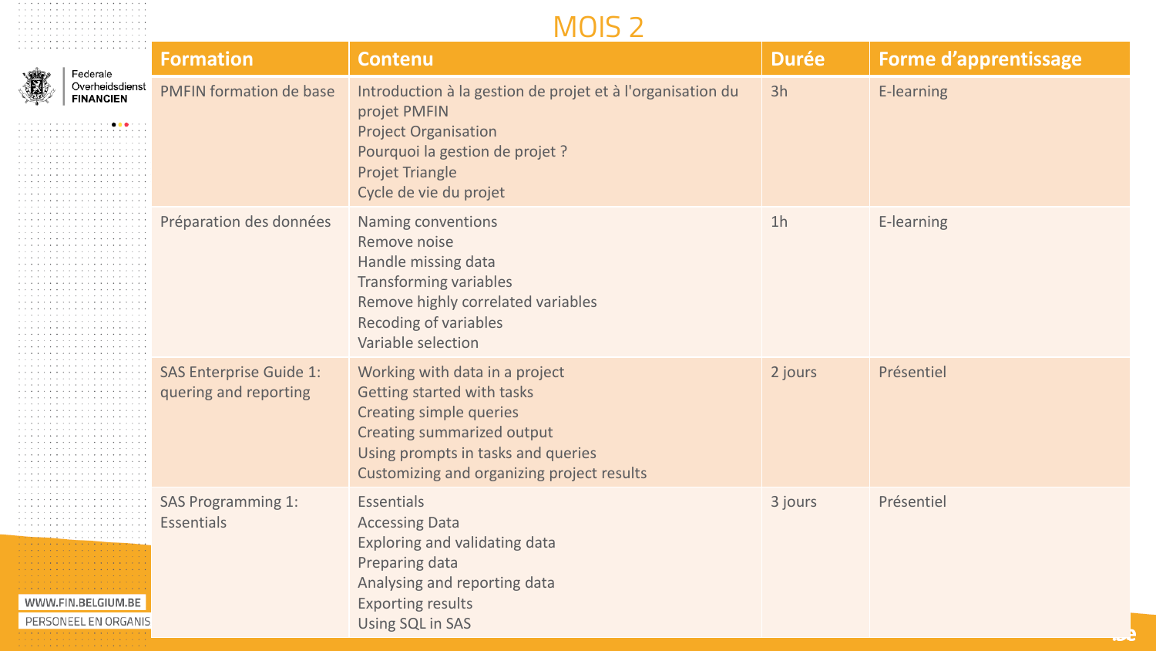#### MOIS 2

. The contract of the contract of the contract of the contract of the contract of the contract of the contract of the contract of the contract of the contract of the contract of the contract of the contract of the contrac . The contract of the contract of the contract of the contract of the contract of the contract of the contract of the contract of the contract of the contract of the contract of the contract of the contract of the contrac 

| Federale                                   | <b>Formation</b>                                        | <b>Contenu</b>                                                                                                                                                                                                          | <b>Durée</b>   | <b>Forme d'apprentissage</b> |
|--------------------------------------------|---------------------------------------------------------|-------------------------------------------------------------------------------------------------------------------------------------------------------------------------------------------------------------------------|----------------|------------------------------|
| Overheidsdienst<br><b>FINANCIEN</b>        | <b>PMFIN formation de base</b>                          | Introduction à la gestion de projet et à l'organisation du<br>projet PMFIN<br><b>Project Organisation</b><br>Pourquoi la gestion de projet ?<br><b>Projet Triangle</b><br>Cycle de vie du projet                        | 3h             | E-learning                   |
|                                            | Préparation des données                                 | Naming conventions<br>Remove noise<br>Handle missing data<br><b>Transforming variables</b><br>Remove highly correlated variables<br><b>Recoding of variables</b><br>Variable selection                                  | 1 <sub>h</sub> | E-learning                   |
|                                            | <b>SAS Enterprise Guide 1:</b><br>quering and reporting | Working with data in a project<br>Getting started with tasks<br><b>Creating simple queries</b><br><b>Creating summarized output</b><br>Using prompts in tasks and queries<br>Customizing and organizing project results | 2 jours        | Présentiel                   |
| WWW.FIN.BELGIUM.BE<br>PERSONEEL EN ORGANIS | <b>SAS Programming 1:</b><br><b>Essentials</b>          | Essentials<br><b>Accessing Data</b><br>Exploring and validating data<br>Preparing data<br>Analysing and reporting data<br><b>Exporting results</b><br>Using SQL in SAS                                                  | 3 jours        | Présentiel                   |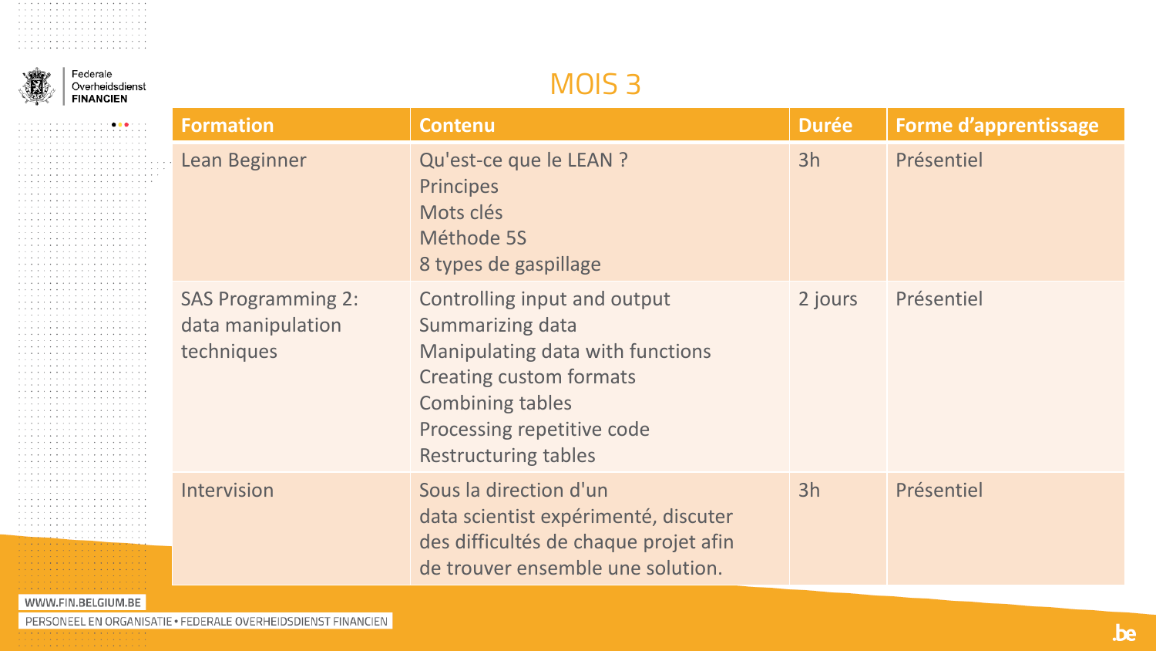. . . . . . . . . . . . . . . . . . . . . . . . . . . . . . . . . . . . . . . . . . . . . . . . . . . . . . . . . . . . . . . . . . . . . . . . . . . . . . . . . . . . . . . . . . . . . . . . . . . . . . . . . . . . . . . . . . . . . . . . . . . . . . . . . . . . . . . . . . . . . . . . . . . . . . . . . . . . . . . . . . . . . . . . . . . . . . . . . . . . . . . . . . . . . . . . . . . . . . . . . . . . . . . . . . . . . . . . . . . . . . . . . . . . . . . . . . . . . . . . . . The contract of the contract of the contract of the  $\mathcal{A}_1$ . . . . . . . . . . . . . . . . . . . . . . . . . . . . . . . . . . . . . . . . . . . . . . . . . . . . . . . . . . . . . . . . . . . . . . . . . . . . . . . . . . . . . . . . . . . . . . . . . . . . . . . . . . . . . . . . . . . . . . . . . . . . . . . . . . . . . . . . . . . . . . . . . . . . . . . . . . . . . . . . . . . . . . . . . . . . . . . . . . . . . . . . . . . . . . . . . . . . . . . . . . . . . . . . . . . . . . . . . . . . . . . . . . . . . . . . . . . . . . . .  $\alpha$  , and a set of the set of the set of the set of the  $\alpha$ . . . . . . . . . . . . . . . . . . . . . . . . . . . . . . . . . . . . . . . . . . . . . . . . . . . . . . . . . . . . . . . . . . . . . . . . . . . . . . . . . . . . . . . . . . . . . . . . . . . . . . . . . . . . . . . . . . . . . . . . . . . . . . . . . . . . . . . . . . . . . . . . . . . . . . . . . . . . . . . . the contract of the contract of the . . . . . . . . . . . . . . . . , which is a set of the set of the set of the  $\alpha$ . . . . . . . . . . . . . . . . . The contract of the contract of the contract of  $\mathcal{A}_1$ . . . . . . . . . . . . . . . . . . . . . . . . . . . . . . . . . . . . . . . . . . . . . . . . . . . . . . . . . . . . . . . . . . . . . . . . . . . . . . . . . . . . . . . . . . . . . . . . the contract of the contract of the contract of . . . . . . . . . . . . . . . .  $\alpha$  , and a set of the set of the set of the set of the  $\alpha$ . . . . . . . . . . . . . . . .  $\alpha$  , and a set of the set of the set of the set of the  $\alpha$ . . . . . . . . . . . . . . . . . . . . . . . . . . . . . . . . . . . . . . . . . . . . . . . . , which is a constant of the state of the  $\alpha$ . . . . . . . . . . . . . . . . , which is a set of the set of the set of the set of  $\mathcal{A}$ **Construction of the Construction Construction** and a series and a series and and a series of the contract of the series construction and conand a series and a series and a series of the control <u> Timbridan (</u>

> Federale Overheidsdienst **FINANCIEN**

#### **MOIS3**

|                    | <b>Formation</b>                                             | <b>Contenu</b>                                                                                                                                                                                                 | <b>Durée</b> | <b>Forme d'apprentissage</b> |
|--------------------|--------------------------------------------------------------|----------------------------------------------------------------------------------------------------------------------------------------------------------------------------------------------------------------|--------------|------------------------------|
|                    | Lean Beginner                                                | Qu'est-ce que le LEAN ?<br><b>Principes</b><br>Mots clés<br>Méthode 5S<br>8 types de gaspillage                                                                                                                | 3h           | Présentiel                   |
|                    | <b>SAS Programming 2:</b><br>data manipulation<br>techniques | Controlling input and output<br>Summarizing data<br>Manipulating data with functions<br><b>Creating custom formats</b><br><b>Combining tables</b><br>Processing repetitive code<br><b>Restructuring tables</b> | 2 jours      | Présentiel                   |
|                    | Intervision                                                  | Sous la direction d'un<br>data scientist expérimenté, discuter<br>des difficultés de chaque projet afin<br>de trouver ensemble une solution.                                                                   | 3h           | Présentiel                   |
| WWW.FIN.BELGIUM.BE |                                                              |                                                                                                                                                                                                                |              |                              |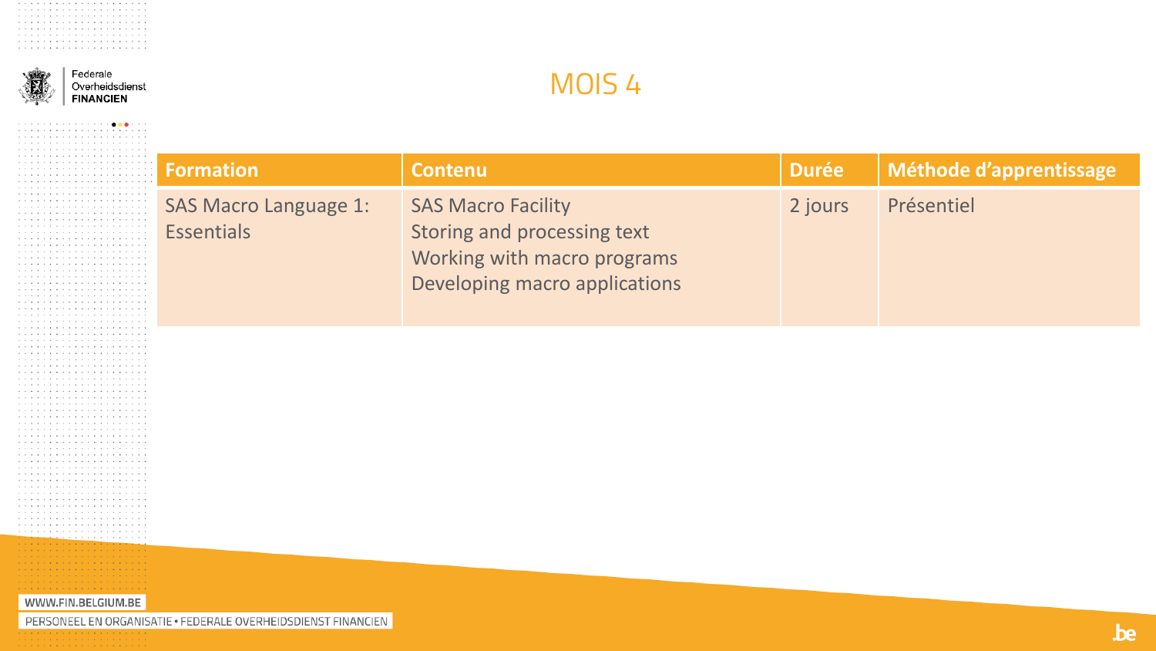

a construction of the construction of the construction of a construction of the contract of the construction of the  $\mathbf{v}_i \cdot \mathbf{v}_j \cdot \mathbf{v}_j \cdot \mathbf{v}_j \cdot \mathbf{v}_j \cdot \mathbf{v}_j \cdot \mathbf{v}_j \cdot \mathbf{v}_j \cdot \mathbf{v}_j \cdot \mathbf{v}_j \cdot \mathbf{v}_j \cdot \mathbf{v}_j \cdot \mathbf{v}_j \cdot \mathbf{v}_j \cdot \mathbf{v}_j \cdot \mathbf{v}_j \cdot \mathbf{v}_j \cdot \mathbf{v}_j \cdot \mathbf{v}_j \cdot \mathbf{v}_j \cdot \mathbf{v}_j \cdot \mathbf{v}_j \cdot \mathbf{v}_j \cdot \mathbf{v}_j \cdot \mathbf{$ . <u>. . . . . . . . . . . . . . . . .</u> والمتعاني والمتعارف والمتعارف والمتعارف والمتعارف a caracteristic and a caracteristic and a serie de la caractería de la caractería de

Federale Overheidsdienst **FINANCIEN** 

#### MOIS<sub>4</sub>

| ormation                     | <b>Contenu</b>                                             | <b>Durée</b> | Méthode d'apprentissage |
|------------------------------|------------------------------------------------------------|--------------|-------------------------|
| <b>SAS Macro Language 1:</b> | <b>SAS Macro Facility</b>                                  | 2 jours      | Présentiel              |
| <b>Essentials</b>            | Storing and processing text<br>Working with macro programs |              |                         |
|                              | Developing macro applications                              |              |                         |
|                              |                                                            |              |                         |

WWW.FIN.BELGIUM.BE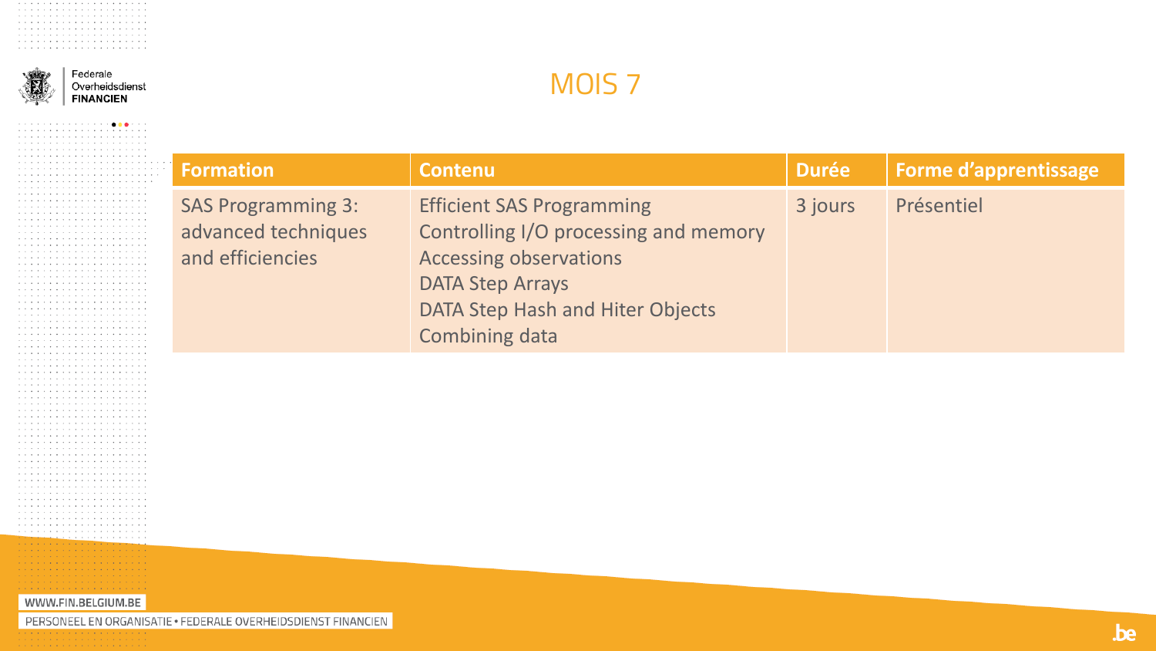

and a series of the contract of the contract of the contract of the contract of the contract of the contract of the contract of the contract of the contract of the contract of the contract of the contract of the contract o a construction of the contract of the construction of the  $\mathbf{v}_i \cdot \mathbf{v}_j \cdot \mathbf{v}_j \cdot \mathbf{v}_j \cdot \mathbf{v}_j \cdot \mathbf{v}_j \cdot \mathbf{v}_j \cdot \mathbf{v}_j \cdot \mathbf{v}_j \cdot \mathbf{v}_j \cdot \mathbf{v}_j \cdot \mathbf{v}_j \cdot \mathbf{v}_j \cdot \mathbf{v}_j \cdot \mathbf{v}_j \cdot \mathbf{v}_j \cdot \mathbf{v}_j \cdot \mathbf{v}_j \cdot \mathbf{v}_j \cdot \mathbf{v}_j \cdot \mathbf{v}_j \cdot \mathbf{v}_j \cdot \mathbf{v}_j \cdot \mathbf{v}_j \cdot \mathbf{$ المتحاج والمتحام والمتحاج والمتحاج والمتحاج والمتحاج a construction of the construction of the construction of the construction of the construction of the construction of the construction of the construction of the construction of the construction of the construction of the a serie de la caractería de la caractería de

Federale Overheidsdienst **FINANCIEN** 

### MOIS<sub>7</sub>

| <b>Formation</b>                                                     | <b>Contenu</b>                                                                                                                                                                                     | <b>Durée</b> | <b>Forme d'apprentissage</b> |
|----------------------------------------------------------------------|----------------------------------------------------------------------------------------------------------------------------------------------------------------------------------------------------|--------------|------------------------------|
| <b>SAS Programming 3:</b><br>advanced techniques<br>and efficiencies | <b>Efficient SAS Programming</b><br>Controlling I/O processing and memory<br><b>Accessing observations</b><br><b>DATA Step Arrays</b><br>DATA Step Hash and Hiter Objects<br><b>Combining data</b> | 3 jours      | Présentiel                   |

WWW.FIN.BELGIUM.BE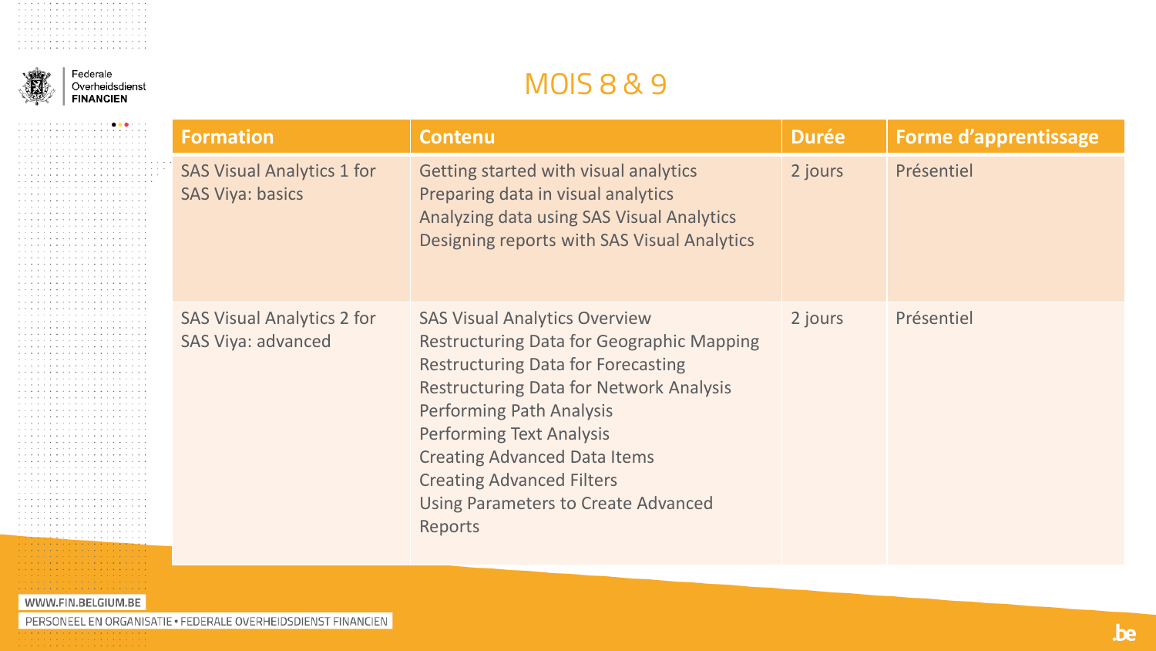

#### Federale Overheidsdienst **FINANCIEN**

### **MOIS8&9**

| <b>Formation</b>                                             | <b>Contenu</b>                                                                                                                                                                                                                                                                                                                                                                                    | <b>Durée</b> | <b>Forme d'apprentissage</b> |
|--------------------------------------------------------------|---------------------------------------------------------------------------------------------------------------------------------------------------------------------------------------------------------------------------------------------------------------------------------------------------------------------------------------------------------------------------------------------------|--------------|------------------------------|
| <b>SAS Visual Analytics 1 for</b><br><b>SAS Viya: basics</b> | Getting started with visual analytics<br>Preparing data in visual analytics<br>Analyzing data using SAS Visual Analytics<br>Designing reports with SAS Visual Analytics                                                                                                                                                                                                                           | 2 jours      | Présentiel                   |
| <b>SAS Visual Analytics 2 for</b><br>SAS Viya: advanced      | <b>SAS Visual Analytics Overview</b><br><b>Restructuring Data for Geographic Mapping</b><br><b>Restructuring Data for Forecasting</b><br><b>Restructuring Data for Network Analysis</b><br><b>Performing Path Analysis</b><br><b>Performing Text Analysis</b><br><b>Creating Advanced Data Items</b><br><b>Creating Advanced Filters</b><br>Using Parameters to Create Advanced<br><b>Reports</b> | 2 jours      | Présentiel                   |

#### . . . . . . . . . . . . . . . . . . WWW.FIN.BELGIUM.BE

والمتحاولة والمتحاولة والمتحاولة contractor and contract and contractor the second contract of the second second